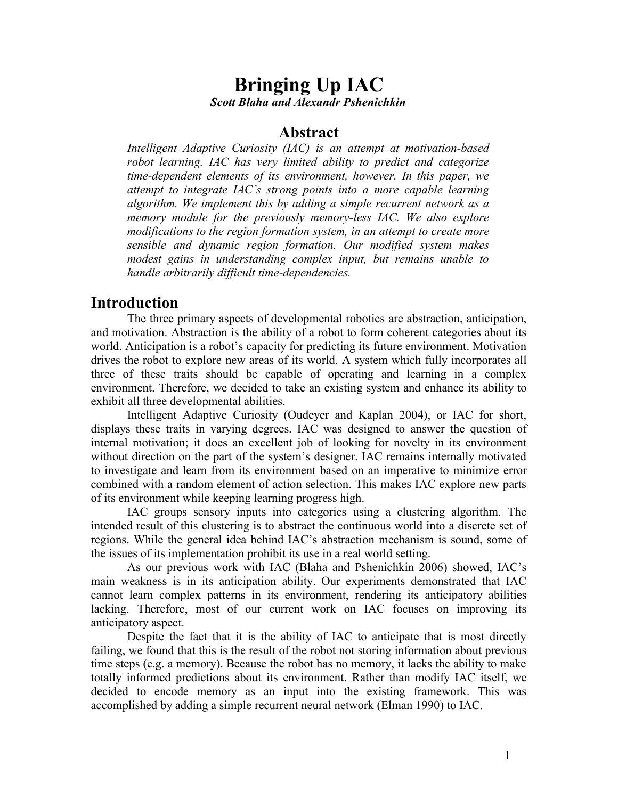# **Bringing Up IAC** *Scott Blaha and Alexandr Pshenichkin*

#### **Abstract**

*Intelligent Adaptive Curiosity (IAC) is an attempt at motivation-based robot learning. IAC has very limited ability to predict and categorize time-dependent elements of its environment, however. In this paper, we attempt to integrate IAC's strong points into a more capable learning algorithm. We implement this by adding a simple recurrent network as a memory module for the previously memory-less IAC. We also explore modifications to the region formation system, in an attempt to create more sensible and dynamic region formation. Our modified system makes modest gains in understanding complex input, but remains unable to handle arbitrarily difficult time-dependencies.*

## **Introduction**

The three primary aspects of developmental robotics are abstraction, anticipation, and motivation. Abstraction is the ability of a robot to form coherent categories about its world. Anticipation is a robot's capacity for predicting its future environment. Motivation drives the robot to explore new areas of its world. A system which fully incorporates all three of these traits should be capable of operating and learning in a complex environment. Therefore, we decided to take an existing system and enhance its ability to exhibit all three developmental abilities.

Intelligent Adaptive Curiosity (Oudeyer and Kaplan 2004), or IAC for short, displays these traits in varying degrees. IAC was designed to answer the question of internal motivation; it does an excellent job of looking for novelty in its environment without direction on the part of the system's designer. IAC remains internally motivated to investigate and learn from its environment based on an imperative to minimize error combined with a random element of action selection. This makes IAC explore new parts of its environment while keeping learning progress high.

IAC groups sensory inputs into categories using a clustering algorithm. The intended result of this clustering is to abstract the continuous world into a discrete set of regions. While the general idea behind IAC's abstraction mechanism is sound, some of the issues of its implementation prohibit its use in a real world setting.

As our previous work with IAC (Blaha and Pshenichkin 2006) showed, IAC's main weakness is in its anticipation ability. Our experiments demonstrated that IAC cannot learn complex patterns in its environment, rendering its anticipatory abilities lacking. Therefore, most of our current work on IAC focuses on improving its anticipatory aspect.

Despite the fact that it is the ability of IAC to anticipate that is most directly failing, we found that this is the result of the robot not storing information about previous time steps (e.g. a memory). Because the robot has no memory, it lacks the ability to make totally informed predictions about its environment. Rather than modify IAC itself, we decided to encode memory as an input into the existing framework. This was accomplished by adding a simple recurrent neural network (Elman 1990) to IAC.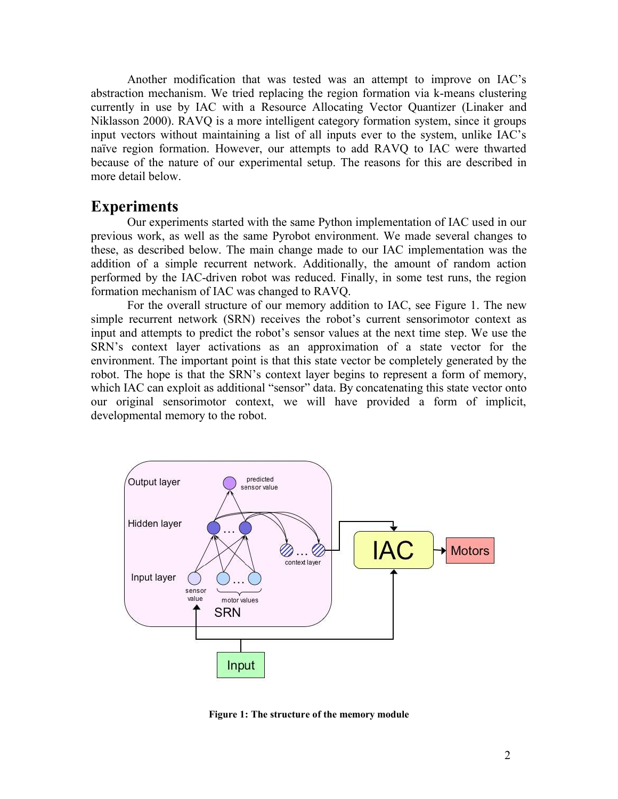Another modification that was tested was an attempt to improve on IAC's abstraction mechanism. We tried replacing the region formation via k-means clustering currently in use by IAC with a Resource Allocating Vector Quantizer (Linaker and Niklasson 2000). RAVQ is a more intelligent category formation system, since it groups input vectors without maintaining a list of all inputs ever to the system, unlike IAC's naïve region formation. However, our attempts to add RAVQ to IAC were thwarted because of the nature of our experimental setup. The reasons for this are described in more detail below.

#### **Experiments**

Our experiments started with the same Python implementation of IAC used in our previous work, as well as the same Pyrobot environment. We made several changes to these, as described below. The main change made to our IAC implementation was the addition of a simple recurrent network. Additionally, the amount of random action performed by the IAC-driven robot was reduced. Finally, in some test runs, the region formation mechanism of IAC was changed to RAVQ.

For the overall structure of our memory addition to IAC, see Figure 1. The new simple recurrent network (SRN) receives the robot's current sensorimotor context as input and attempts to predict the robot's sensor values at the next time step. We use the SRN's context layer activations as an approximation of a state vector for the environment. The important point is that this state vector be completely generated by the robot. The hope is that the SRN's context layer begins to represent a form of memory, which IAC can exploit as additional "sensor" data. By concatenating this state vector onto our original sensorimotor context, we will have provided a form of implicit, developmental memory to the robot.



**Figure 1: The structure of the memory module**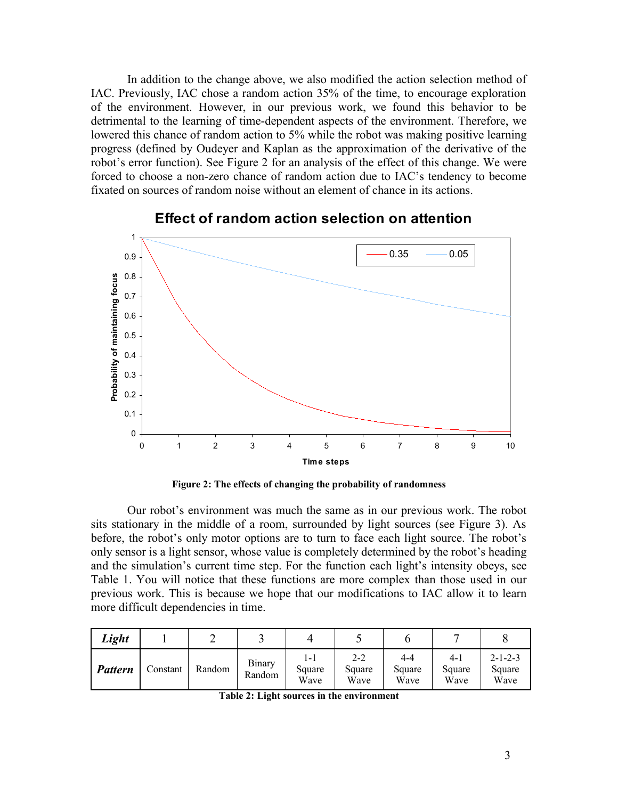In addition to the change above, we also modified the action selection method of IAC. Previously, IAC chose a random action 35% of the time, to encourage exploration of the environment. However, in our previous work, we found this behavior to be detrimental to the learning of time-dependent aspects of the environment. Therefore, we lowered this chance of random action to 5% while the robot was making positive learning progress (defined by Oudeyer and Kaplan as the approximation of the derivative of the robot's error function). See Figure 2 for an analysis of the effect of this change. We were forced to choose a non-zero chance of random action due to IAC's tendency to become fixated on sources of random noise without an element of chance in its actions.



#### **Effect of random action selection on attention**

**Figure 2: The effects of changing the probability of randomness**

Our robot's environment was much the same as in our previous work. The robot sits stationary in the middle of a room, surrounded by light sources (see Figure 3). As before, the robot's only motor options are to turn to face each light source. The robot's only sensor is a light sensor, whose value is completely determined by the robot's heading and the simulation's current time step. For the function each light's intensity obeys, see Table 1. You will notice that these functions are more complex than those used in our previous work. This is because we hope that our modifications to IAC allow it to learn more difficult dependencies in time.

| Light          |          |        |                         |                       |                           |                       |                         |                                   |
|----------------|----------|--------|-------------------------|-----------------------|---------------------------|-----------------------|-------------------------|-----------------------------------|
| <b>Pattern</b> | Constant | Random | <b>Binary</b><br>Random | l-l<br>Square<br>Wave | $2 - 2$<br>Square<br>Wave | 4-4<br>Square<br>Wave | $4-1$<br>Square<br>Wave | $2 - 1 - 2 - 3$<br>Square<br>Wave |

**Table 2: Light sources in the environment**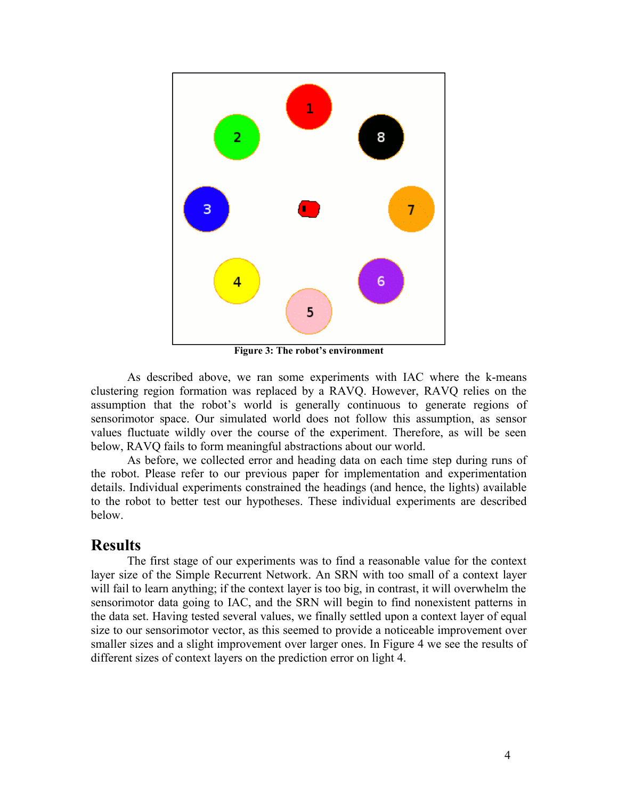

**Figure 3: The robot's environment**

As described above, we ran some experiments with IAC where the k-means clustering region formation was replaced by a RAVQ. However, RAVQ relies on the assumption that the robot's world is generally continuous to generate regions of sensorimotor space. Our simulated world does not follow this assumption, as sensor values fluctuate wildly over the course of the experiment. Therefore, as will be seen below, RAVQ fails to form meaningful abstractions about our world.

As before, we collected error and heading data on each time step during runs of the robot. Please refer to our previous paper for implementation and experimentation details. Individual experiments constrained the headings (and hence, the lights) available to the robot to better test our hypotheses. These individual experiments are described below.

### **Results**

The first stage of our experiments was to find a reasonable value for the context layer size of the Simple Recurrent Network. An SRN with too small of a context layer will fail to learn anything; if the context layer is too big, in contrast, it will overwhelm the sensorimotor data going to IAC, and the SRN will begin to find nonexistent patterns in the data set. Having tested several values, we finally settled upon a context layer of equal size to our sensorimotor vector, as this seemed to provide a noticeable improvement over smaller sizes and a slight improvement over larger ones. In Figure 4 we see the results of different sizes of context layers on the prediction error on light 4.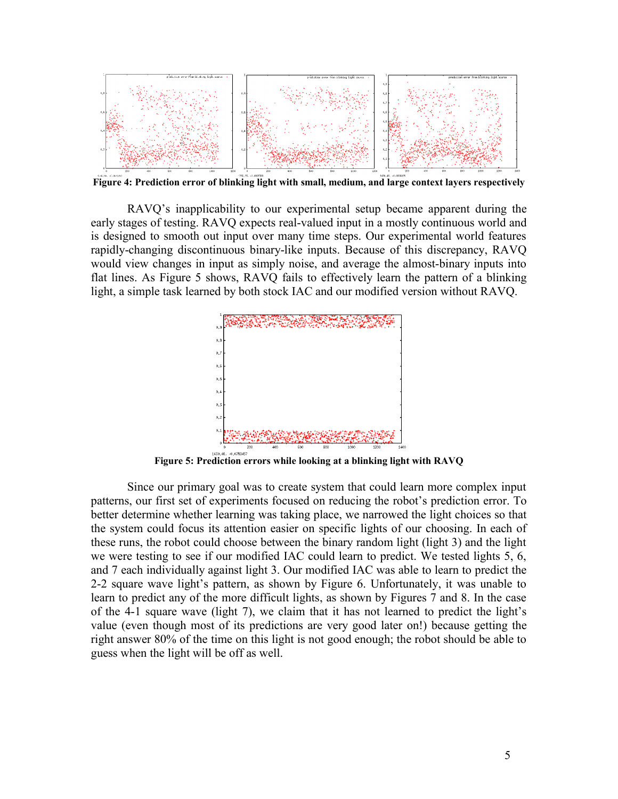

**Figure 4: Prediction error of blinking light with small, medium, and large context layers respectively**

RAVQ's inapplicability to our experimental setup became apparent during the early stages of testing. RAVQ expects real-valued input in a mostly continuous world and is designed to smooth out input over many time steps. Our experimental world features rapidly-changing discontinuous binary-like inputs. Because of this discrepancy, RAVQ would view changes in input as simply noise, and average the almost-binary inputs into flat lines. As Figure 5 shows, RAVQ fails to effectively learn the pattern of a blinking light, a simple task learned by both stock IAC and our modified version without RAVQ.



**Figure 5: Prediction errors while looking at a blinking light with RAVQ**

Since our primary goal was to create system that could learn more complex input patterns, our first set of experiments focused on reducing the robot's prediction error. To better determine whether learning was taking place, we narrowed the light choices so that the system could focus its attention easier on specific lights of our choosing. In each of these runs, the robot could choose between the binary random light (light 3) and the light we were testing to see if our modified IAC could learn to predict. We tested lights 5, 6, and 7 each individually against light 3. Our modified IAC was able to learn to predict the 2-2 square wave light's pattern, as shown by Figure 6. Unfortunately, it was unable to learn to predict any of the more difficult lights, as shown by Figures 7 and 8. In the case of the 4-1 square wave (light 7), we claim that it has not learned to predict the light's value (even though most of its predictions are very good later on!) because getting the right answer 80% of the time on this light is not good enough; the robot should be able to guess when the light will be off as well.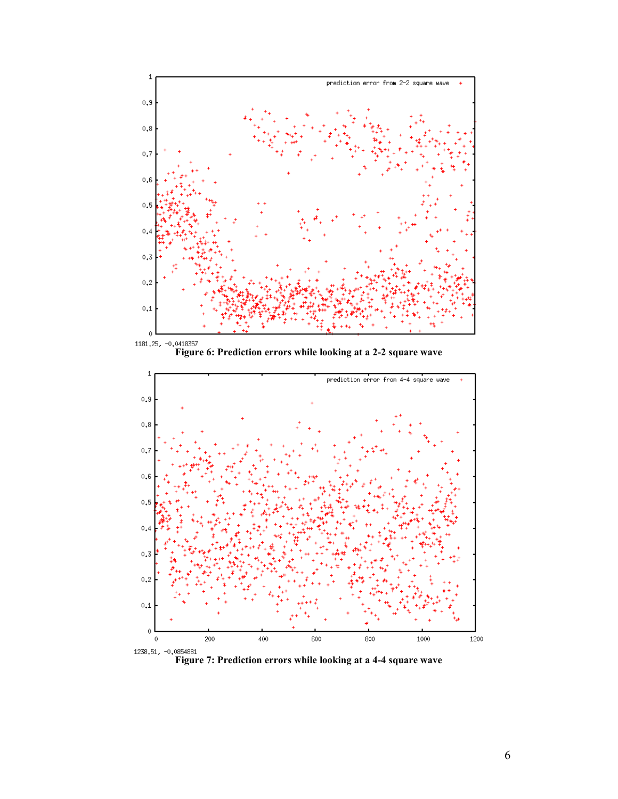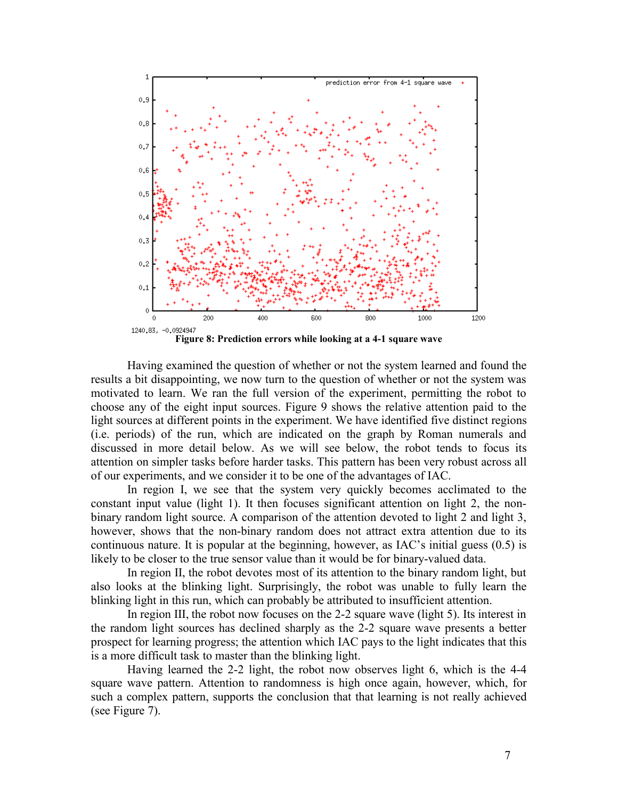

Having examined the question of whether or not the system learned and found the results a bit disappointing, we now turn to the question of whether or not the system was motivated to learn. We ran the full version of the experiment, permitting the robot to choose any of the eight input sources. Figure 9 shows the relative attention paid to the light sources at different points in the experiment. We have identified five distinct regions (i.e. periods) of the run, which are indicated on the graph by Roman numerals and discussed in more detail below. As we will see below, the robot tends to focus its attention on simpler tasks before harder tasks. This pattern has been very robust across all of our experiments, and we consider it to be one of the advantages of IAC.

In region I, we see that the system very quickly becomes acclimated to the constant input value (light 1). It then focuses significant attention on light 2, the nonbinary random light source. A comparison of the attention devoted to light 2 and light 3, however, shows that the non-binary random does not attract extra attention due to its continuous nature. It is popular at the beginning, however, as IAC's initial guess (0.5) is likely to be closer to the true sensor value than it would be for binary-valued data.

In region II, the robot devotes most of its attention to the binary random light, but also looks at the blinking light. Surprisingly, the robot was unable to fully learn the blinking light in this run, which can probably be attributed to insufficient attention.

In region III, the robot now focuses on the 2-2 square wave (light 5). Its interest in the random light sources has declined sharply as the 2-2 square wave presents a better prospect for learning progress; the attention which IAC pays to the light indicates that this is a more difficult task to master than the blinking light.

Having learned the 2-2 light, the robot now observes light 6, which is the 4-4 square wave pattern. Attention to randomness is high once again, however, which, for such a complex pattern, supports the conclusion that that learning is not really achieved (see Figure 7).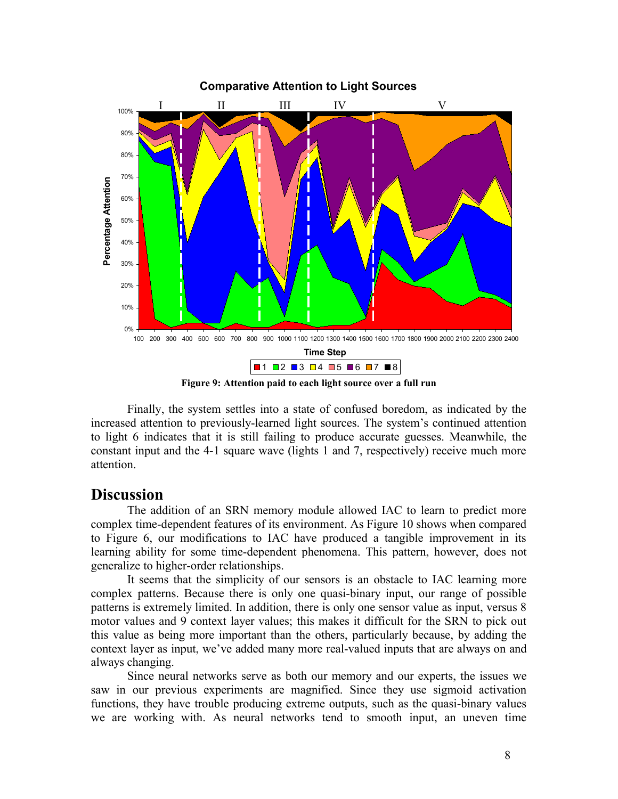

**Figure 9: Attention paid to each light source over a full run**

Finally, the system settles into a state of confused boredom, as indicated by the increased attention to previously-learned light sources. The system's continued attention to light 6 indicates that it is still failing to produce accurate guesses. Meanwhile, the constant input and the 4-1 square wave (lights 1 and 7, respectively) receive much more attention.

## **Discussion**

The addition of an SRN memory module allowed IAC to learn to predict more complex time-dependent features of its environment. As Figure 10 shows when compared to Figure 6, our modifications to IAC have produced a tangible improvement in its learning ability for some time-dependent phenomena. This pattern, however, does not generalize to higher-order relationships.

It seems that the simplicity of our sensors is an obstacle to IAC learning more complex patterns. Because there is only one quasi-binary input, our range of possible patterns is extremely limited. In addition, there is only one sensor value as input, versus 8 motor values and 9 context layer values; this makes it difficult for the SRN to pick out this value as being more important than the others, particularly because, by adding the context layer as input, we've added many more real-valued inputs that are always on and always changing.

Since neural networks serve as both our memory and our experts, the issues we saw in our previous experiments are magnified. Since they use sigmoid activation functions, they have trouble producing extreme outputs, such as the quasi-binary values we are working with. As neural networks tend to smooth input, an uneven time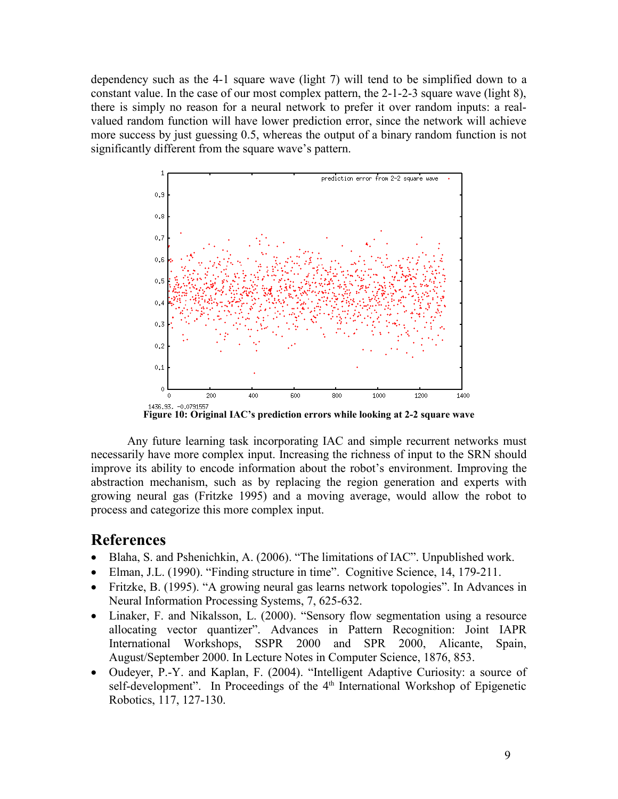dependency such as the 4-1 square wave (light 7) will tend to be simplified down to a constant value. In the case of our most complex pattern, the 2-1-2-3 square wave (light 8), there is simply no reason for a neural network to prefer it over random inputs: a realvalued random function will have lower prediction error, since the network will achieve more success by just guessing 0.5, whereas the output of a binary random function is not significantly different from the square wave's pattern.



**Figure 10: Original IAC's prediction errors while looking at 2-2 square wave**

Any future learning task incorporating IAC and simple recurrent networks must necessarily have more complex input. Increasing the richness of input to the SRN should improve its ability to encode information about the robot's environment. Improving the abstraction mechanism, such as by replacing the region generation and experts with growing neural gas (Fritzke 1995) and a moving average, would allow the robot to process and categorize this more complex input.

### **References**

- Blaha, S. and Pshenichkin, A. (2006). "The limitations of IAC". Unpublished work.
- Elman, J.L. (1990). "Finding structure in time". Cognitive Science, 14, 179-211.
- Fritzke, B. (1995). "A growing neural gas learns network topologies". In Advances in Neural Information Processing Systems, 7, 625-632.
- Linaker, F. and Nikalsson, L. (2000). "Sensory flow segmentation using a resource allocating vector quantizer". Advances in Pattern Recognition: Joint IAPR International Workshops, SSPR 2000 and SPR 2000, Alicante, Spain, August/September 2000. In Lecture Notes in Computer Science, 1876, 853.
- Oudeyer, P.-Y. and Kaplan, F. (2004). "Intelligent Adaptive Curiosity: a source of self-development". In Proceedings of the 4<sup>th</sup> International Workshop of Epigenetic Robotics, 117, 127-130.